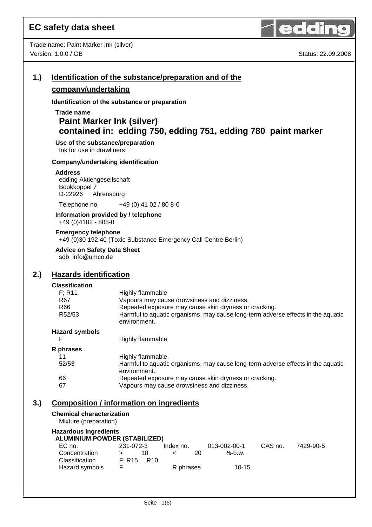

| 1.) |                                                                                                                                     | Identification of the substance/preparation and of the                                                                                                                                                                       |
|-----|-------------------------------------------------------------------------------------------------------------------------------------|------------------------------------------------------------------------------------------------------------------------------------------------------------------------------------------------------------------------------|
|     | company/undertaking                                                                                                                 |                                                                                                                                                                                                                              |
|     |                                                                                                                                     | Identification of the substance or preparation                                                                                                                                                                               |
|     | Trade name<br><b>Paint Marker Ink (silver)</b><br>Use of the substance/preparation                                                  | contained in: edding 750, edding 751, edding 780 paint marker                                                                                                                                                                |
|     | Ink for use in drawliners                                                                                                           |                                                                                                                                                                                                                              |
|     | Company/undertaking identification                                                                                                  |                                                                                                                                                                                                                              |
|     | <b>Address</b><br>edding Aktiengesellschaft<br>Bookkoppel 7<br>D-22926<br>Ahrensburg                                                |                                                                                                                                                                                                                              |
|     | Telephone no.                                                                                                                       | +49 (0) 41 02 / 80 8-0                                                                                                                                                                                                       |
|     | Information provided by / telephone<br>+49 (0)4102 - 808-0                                                                          |                                                                                                                                                                                                                              |
|     | <b>Emergency telephone</b>                                                                                                          | +49 (0)30 192 40 (Toxic Substance Emergency Call Centre Berlin)                                                                                                                                                              |
|     | <b>Advice on Safety Data Sheet</b><br>sdb_info@umco.de                                                                              |                                                                                                                                                                                                                              |
| 2.) | <b>Hazards identification</b>                                                                                                       |                                                                                                                                                                                                                              |
|     | <b>Classification</b><br>F; R11<br>R67<br>R66<br>R52/53                                                                             | Highly flammable<br>Vapours may cause drowsiness and dizziness.<br>Repeated exposure may cause skin dryness or cracking.<br>Harmful to aquatic organisms, may cause long-term adverse effects in the aquatic<br>environment. |
|     | <b>Hazard symbols</b>                                                                                                               |                                                                                                                                                                                                                              |
|     | F                                                                                                                                   | <b>Highly flammable</b>                                                                                                                                                                                                      |
|     | R phrases                                                                                                                           |                                                                                                                                                                                                                              |
|     | 11<br>52/53                                                                                                                         | Highly flammable.<br>Harmful to aquatic organisms, may cause long-term adverse effects in the aquatic<br>environment.                                                                                                        |
|     | 66<br>67                                                                                                                            | Repeated exposure may cause skin dryness or cracking.<br>Vapours may cause drowsiness and dizziness.                                                                                                                         |
| 3.) |                                                                                                                                     | <b>Composition / information on ingredients</b>                                                                                                                                                                              |
|     | <b>Chemical characterization</b><br>Mixture (preparation)                                                                           |                                                                                                                                                                                                                              |
|     | <b>Hazardous ingredients</b><br><b>ALUMINIUM POWDER (STABILIZED)</b><br>EC no.<br>Concentration<br>Classification<br>Hazard symbols | 231-072-3<br>013-002-00-1<br>CAS no.<br>Index no.<br>7429-90-5<br>10<br>20<br>$%$ -b.w.<br>$\overline{\phantom{0}}$<br>$\geq$<br>F; R15<br>R <sub>10</sub><br>R phrases<br>$10 - 15$<br>F                                    |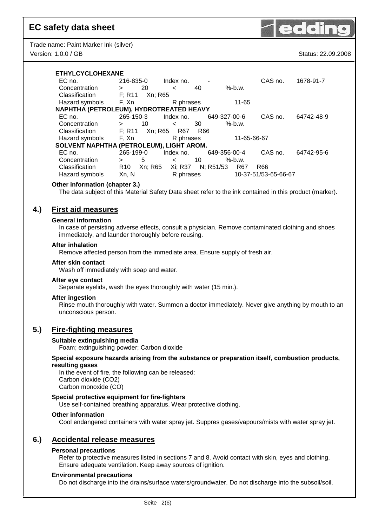Trade name: Paint Marker Ink (silver) Version: 1.0.0 / GB Status: 22.09.2008



#### **ETHYLCYCLOHEXANE**

| EC no.                                   | 216-835-0                  | Index no.     |                  | CAS no.              | 1678-91-7  |
|------------------------------------------|----------------------------|---------------|------------------|----------------------|------------|
| Concentration                            | 20<br>$\geq$               | 40<br>$\,<\,$ | $%$ -b.w.        |                      |            |
| Classification                           | F; R11<br>Xn; R65          |               |                  |                      |            |
| Hazard symbols                           | F. Xn                      | R phrases     | 11-65            |                      |            |
| NAPHTHA (PETROLEUM), HYDROTREATED HEAVY  |                            |               |                  |                      |            |
| EC no.                                   | 265-150-3                  | Index no.     | 649-327-00-6     | CAS no.              | 64742-48-9 |
| Concentration                            | 10<br>$\geq$               | 30<br>$\,<\,$ | $%$ -b.w.        |                      |            |
| Classification                           | F: R11<br>Xn; R65          | R67<br>R66    |                  |                      |            |
| Hazard symbols                           | F, Xn                      | R phrases     | 11-65-66-67      |                      |            |
| SOLVENT NAPHTHA (PETROLEUM), LIGHT AROM. |                            |               |                  |                      |            |
| EC no.                                   | 265-199-0                  | Index no.     | 649-356-00-4     | CAS no.              | 64742-95-6 |
| Concentration                            | 5<br>>                     | 10<br>$\lt$   | $%$ -b.w.        |                      |            |
| Classification                           | Xn; R65<br>R <sub>10</sub> | Xi; R37       | N; R51/53<br>R67 | R66                  |            |
| Hazard symbols                           | Xn, N                      | R phrases     |                  | 10-37-51/53-65-66-67 |            |

#### **Other information (chapter 3.)**

The data subject of this Material Safety Data sheet refer to the ink contained in this product (marker).

## **4.) First aid measures**

#### **General information**

In case of persisting adverse effects, consult a physician. Remove contaminated clothing and shoes immediately, and launder thoroughly before reusing.

#### **After inhalation**

Remove affected person from the immediate area. Ensure supply of fresh air.

#### **After skin contact**

Wash off immediately with soap and water.

#### **After eye contact**

Separate eyelids, wash the eyes thoroughly with water (15 min.).

#### **After ingestion**

Rinse mouth thoroughly with water. Summon a doctor immediately. Never give anything by mouth to an unconscious person.

### **5.) Fire-fighting measures**

#### **Suitable extinguishing media**

Foam; extinguishing powder; Carbon dioxide

**Special exposure hazards arising from the substance or preparation itself, combustion products, resulting gases** 

In the event of fire, the following can be released: Carbon dioxide (CO2) Carbon monoxide (CO)

#### **Special protective equipment for fire-fighters**

Use self-contained breathing apparatus. Wear protective clothing.

#### **Other information**

Cool endangered containers with water spray jet. Suppres gases/vapours/mists with water spray jet.

#### **6.) Accidental release measures**

#### **Personal precautions**

Refer to protective measures listed in sections 7 and 8. Avoid contact with skin, eyes and clothing. Ensure adequate ventilation. Keep away sources of ignition.

#### **Environmental precautions**

Do not discharge into the drains/surface waters/groundwater. Do not discharge into the subsoil/soil.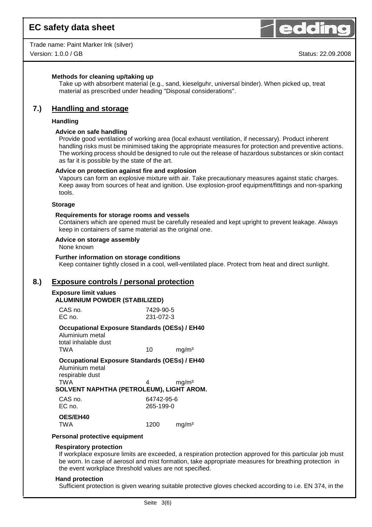

Trade name: Paint Marker Ink (silver) Version: 1.0.0 / GB Status: 22.09.2008

#### **Methods for cleaning up/taking up**

Take up with absorbent material (e.g., sand, kieselguhr, universal binder). When picked up, treat material as prescribed under heading "Disposal considerations".

### **7.) Handling and storage**

#### **Handling**

#### **Advice on safe handling**

Provide good ventilation of working area (local exhaust ventilation, if necessary). Product inherent handling risks must be minimised taking the appropriate measures for protection and preventive actions. The working process should be designed to rule out the release of hazardous substances or skin contact as far it is possible by the state of the art.

#### **Advice on protection against fire and explosion**

Vapours can form an explosive mixture with air. Take precautionary measures against static charges. Keep away from sources of heat and ignition. Use explosion-proof equipment/fittings and non-sparking tools.

#### **Storage**

#### **Requirements for storage rooms and vessels**

Containers which are opened must be carefully resealed and kept upright to prevent leakage. Always keep in containers of same material as the original one.

#### **Advice on storage assembly**

None known

#### **Further information on storage conditions**

Keep container tightly closed in a cool, well-ventilated place. Protect from heat and direct sunlight.

#### **8.) Exposure controls / personal protection**

#### **Exposure limit values**

#### **ALUMINIUM POWDER (STABILIZED)**

| CAS no. | 7429-90-5 |
|---------|-----------|
| EC no.  | 231-072-3 |

#### **Occupational Exposure Standards (OESs) / EH40**

Aluminium metal total inhalable dust TWA 10 mg/m<sup>3</sup>

**Occupational Exposure Standards (OESs) / EH40**  Aluminium metal respirable dust

 $TWA$  4 mg/m<sup>3</sup> **SOLVENT NAPHTHA (PETROLEUM), LIGHT AROM.**

| CAS no.<br>EC no.             | 64742-95-6<br>265-199-0 |                   |
|-------------------------------|-------------------------|-------------------|
| <b>OES/EH40</b><br><b>TWA</b> | 1200                    | mg/m <sup>3</sup> |

#### **Personal protective equipment**

#### **Respiratory protection**

If workplace exposure limits are exceeded, a respiration protection approved for this particular job must be worn. In case of aerosol and mist formation, take appropriate measures for breathing protection in the event workplace threshold values are not specified.

#### **Hand protection**

Sufficient protection is given wearing suitable protective gloves checked according to i.e. EN 374, in the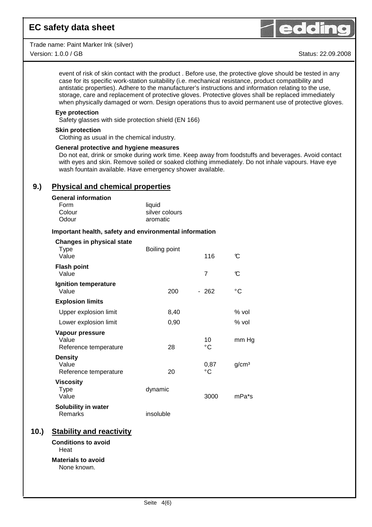Trade name: Paint Marker Ink (silver) Version: 1.0.0 / GB Status: 22.09.2008



event of risk of skin contact with the product . Before use, the protective glove should be tested in any case for its specific work-station suitability (i.e. mechanical resistance, product compatibility and antistatic properties). Adhere to the manufacturer's instructions and information relating to the use, storage, care and replacement of protective gloves. Protective gloves shall be replaced immediately when physically damaged or worn. Design operations thus to avoid permanent use of protective gloves.

#### **Eye protection**

Safety glasses with side protection shield (EN 166)

#### **Skin protection**

Clothing as usual in the chemical industry.

#### **General protective and hygiene measures**

Do not eat, drink or smoke during work time. Keep away from foodstuffs and beverages. Avoid contact with eyes and skin. Remove soiled or soaked clothing immediately. Do not inhale vapours. Have eye wash fountain available. Have emergency shower available.

## **9.) Physical and chemical properties**

#### **General information**

**Changes in physical state** 

| Form   | liquid         |
|--------|----------------|
| Colour | silver colours |
| Odour  | aromatic       |

#### **Important health, safety and environmental information**

| Changes in physical state<br>Type<br>Value        | Boiling point | 116        | C                  |
|---------------------------------------------------|---------------|------------|--------------------|
| <b>Flash point</b><br>Value                       |               | 7          | C                  |
| <b>Ignition temperature</b><br>Value              | 200           | $-262$     | °C                 |
| <b>Explosion limits</b>                           |               |            |                    |
| Upper explosion limit                             | 8,40          |            | % vol              |
| Lower explosion limit                             | 0,90          |            | % vol              |
| Vapour pressure<br>Value<br>Reference temperature | 28            | 10<br>°C   | mm Hg              |
| <b>Density</b><br>Value<br>Reference temperature  | 20            | 0,87<br>°C | g/cm <sup>3</sup>  |
| <b>Viscosity</b><br><b>Type</b><br>Value          | dynamic       | 3000       | mPa <sup>*</sup> s |
| Solubility in water<br>Remarks                    | insoluble     |            |                    |
| <b>Stability and reactivity</b>                   |               |            |                    |
| <b>Conditions to avoid</b><br>Heat                |               |            |                    |

**Materials to avoid**  None known.

**10.**)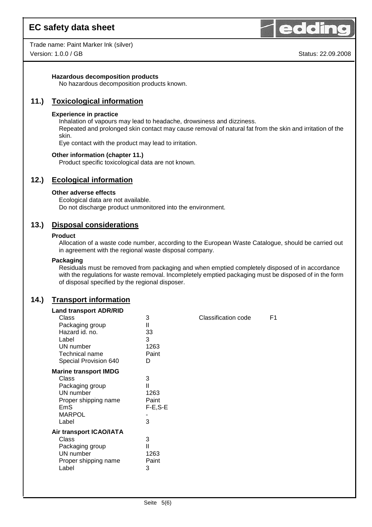



#### **Hazardous decomposition products**

No hazardous decomposition products known.

## **11.) Toxicological information**

#### **Experience in practice**

Inhalation of vapours may lead to headache, drowsiness and dizziness.

Repeated and prolonged skin contact may cause removal of natural fat from the skin and irritation of the skin.

Eye contact with the product may lead to irritation.

#### **Other information (chapter 11.)**

Product specific toxicological data are not known.

## **12.) Ecological information**

#### **Other adverse effects**

Ecological data are not available. Do not discharge product unmonitored into the environment.

## **13.) Disposal considerations**

#### **Product**

Allocation of a waste code number, according to the European Waste Catalogue, should be carried out in agreement with the regional waste disposal company.

#### **Packaging**

Residuals must be removed from packaging and when emptied completely disposed of in accordance with the regulations for waste removal. Incompletely emptied packaging must be disposed of in the form of disposal specified by the regional disposer.

## **14.) Transport information**

| <b>Land transport ADR/RID</b> |               |                            |                |
|-------------------------------|---------------|----------------------------|----------------|
| Class                         | 3             | <b>Classification code</b> | F <sub>1</sub> |
| Packaging group               | Ш             |                            |                |
| Hazard id. no.                | 33            |                            |                |
| Label                         | 3             |                            |                |
| UN number                     | 1263          |                            |                |
| Technical name                | Paint         |                            |                |
| Special Provision 640         | D             |                            |                |
| <b>Marine transport IMDG</b>  |               |                            |                |
| Class                         | 3             |                            |                |
| Packaging group               | $\mathsf{II}$ |                            |                |
| UN number                     | 1263          |                            |                |
| Proper shipping name          | Paint         |                            |                |
| <b>EmS</b>                    | $F-E$ , $S-E$ |                            |                |
| <b>MARPOL</b>                 |               |                            |                |
| Label                         | 3             |                            |                |
| Air transport ICAO/IATA       |               |                            |                |
| Class                         | 3             |                            |                |
| Packaging group               | Ш             |                            |                |
| UN number                     | 1263          |                            |                |
| Proper shipping name          | Paint         |                            |                |
| Label                         | 3             |                            |                |
|                               |               |                            |                |